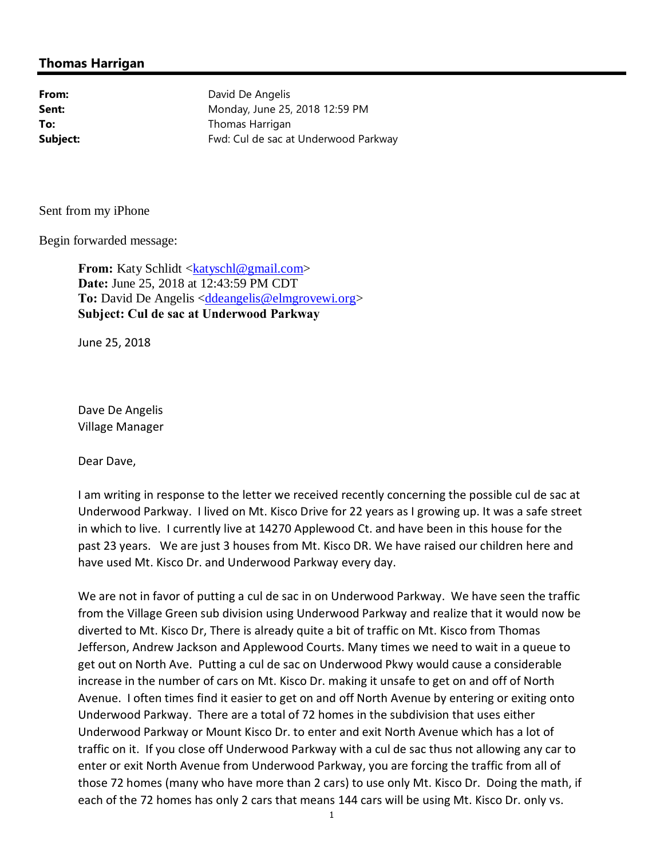## **Thomas Harrigan**

From: David De Angelis **Sent:** Monday, June 25, 2018 12:59 PM **To:** Thomas Harrigan **Subject:** Fwd: Cul de sac at Underwood Parkway

Sent from my iPhone

Begin forwarded message:

**From:** Katy Schlidt <katyschl@gmail.com> **Date:** June 25, 2018 at 12:43:59 PM CDT To: David De Angelis <ddeangelis@elmgrovewi.org> **Subject: Cul de sac at Underwood Parkway**

June 25, 2018

Dave De Angelis Village Manager

Dear Dave,

I am writing in response to the letter we received recently concerning the possible cul de sac at Underwood Parkway. I lived on Mt. Kisco Drive for 22 years as I growing up. It was a safe street in which to live. I currently live at 14270 Applewood Ct. and have been in this house for the past 23 years. We are just 3 houses from Mt. Kisco DR. We have raised our children here and have used Mt. Kisco Dr. and Underwood Parkway every day.

We are not in favor of putting a cul de sac in on Underwood Parkway. We have seen the traffic from the Village Green sub division using Underwood Parkway and realize that it would now be diverted to Mt. Kisco Dr, There is already quite a bit of traffic on Mt. Kisco from Thomas Jefferson, Andrew Jackson and Applewood Courts. Many times we need to wait in a queue to get out on North Ave. Putting a cul de sac on Underwood Pkwy would cause a considerable increase in the number of cars on Mt. Kisco Dr. making it unsafe to get on and off of North Avenue. I often times find it easier to get on and off North Avenue by entering or exiting onto Underwood Parkway. There are a total of 72 homes in the subdivision that uses either Underwood Parkway or Mount Kisco Dr. to enter and exit North Avenue which has a lot of traffic on it. If you close off Underwood Parkway with a cul de sac thus not allowing any car to enter or exit North Avenue from Underwood Parkway, you are forcing the traffic from all of those 72 homes (many who have more than 2 cars) to use only Mt. Kisco Dr. Doing the math, if each of the 72 homes has only 2 cars that means 144 cars will be using Mt. Kisco Dr. only vs.